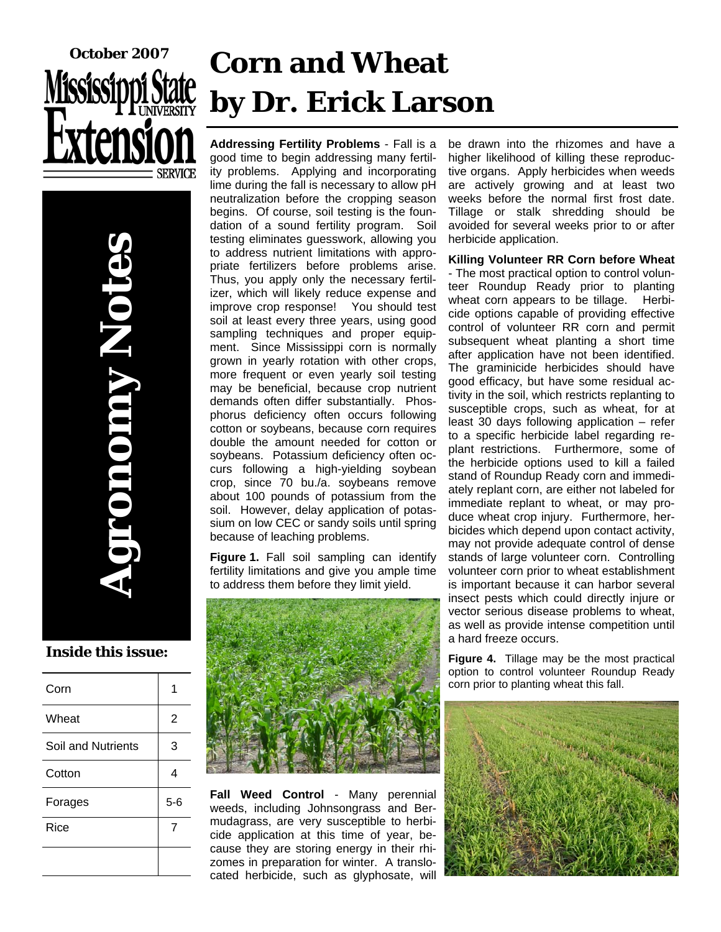

# **Corn and Wheat by Dr. Erick Larson**

**Agronomy Notes DIODINY NOTO** 

#### **Inside this issue:**

| Corn                      |       |
|---------------------------|-------|
| Wheat                     | 2     |
| <b>Soil and Nutrients</b> | 3     |
| Cotton                    | 4     |
| Forages                   | $5-6$ |
| Rice                      | 7     |
|                           |       |

**Addressing Fertility Problems** - Fall is a good time to begin addressing many fertility problems. Applying and incorporating lime during the fall is necessary to allow pH neutralization before the cropping season begins. Of course, soil testing is the foundation of a sound fertility program. Soil testing eliminates guesswork, allowing you to address nutrient limitations with appropriate fertilizers before problems arise. Thus, you apply only the necessary fertilizer, which will likely reduce expense and improve crop response! You should test soil at least every three years, using good sampling techniques and proper equipment. Since Mississippi corn is normally grown in yearly rotation with other crops, more frequent or even yearly soil testing may be beneficial, because crop nutrient demands often differ substantially. Phosphorus deficiency often occurs following cotton or soybeans, because corn requires double the amount needed for cotton or soybeans. Potassium deficiency often occurs following a high-yielding soybean crop, since 70 bu./a. soybeans remove about 100 pounds of potassium from the soil. However, delay application of potassium on low CEC or sandy soils until spring because of leaching problems.

**Figure 1.** Fall soil sampling can identify fertility limitations and give you ample time to address them before they limit yield.



**Fall Weed Control** - Many perennial weeds, including Johnsongrass and Bermudagrass, are very susceptible to herbicide application at this time of year, because they are storing energy in their rhizomes in preparation for winter. A translocated herbicide, such as glyphosate, will be drawn into the rhizomes and have a higher likelihood of killing these reproductive organs. Apply herbicides when weeds are actively growing and at least two weeks before the normal first frost date. Tillage or stalk shredding should be avoided for several weeks prior to or after herbicide application.

#### **Killing Volunteer RR Corn before Wheat**

- The most practical option to control volunteer Roundup Ready prior to planting wheat corn appears to be tillage. Herbicide options capable of providing effective control of volunteer RR corn and permit subsequent wheat planting a short time after application have not been identified. The graminicide herbicides should have good efficacy, but have some residual activity in the soil, which restricts replanting to susceptible crops, such as wheat, for at least 30 days following application – refer to a specific herbicide label regarding replant restrictions. Furthermore, some of the herbicide options used to kill a failed stand of Roundup Ready corn and immediately replant corn, are either not labeled for immediate replant to wheat, or may produce wheat crop injury. Furthermore, herbicides which depend upon contact activity, may not provide adequate control of dense stands of large volunteer corn. Controlling volunteer corn prior to wheat establishment is important because it can harbor several insect pests which could directly injure or vector serious disease problems to wheat, as well as provide intense competition until a hard freeze occurs.

**Figure 4.** Tillage may be the most practical option to control volunteer Roundup Ready corn prior to planting wheat this fall.

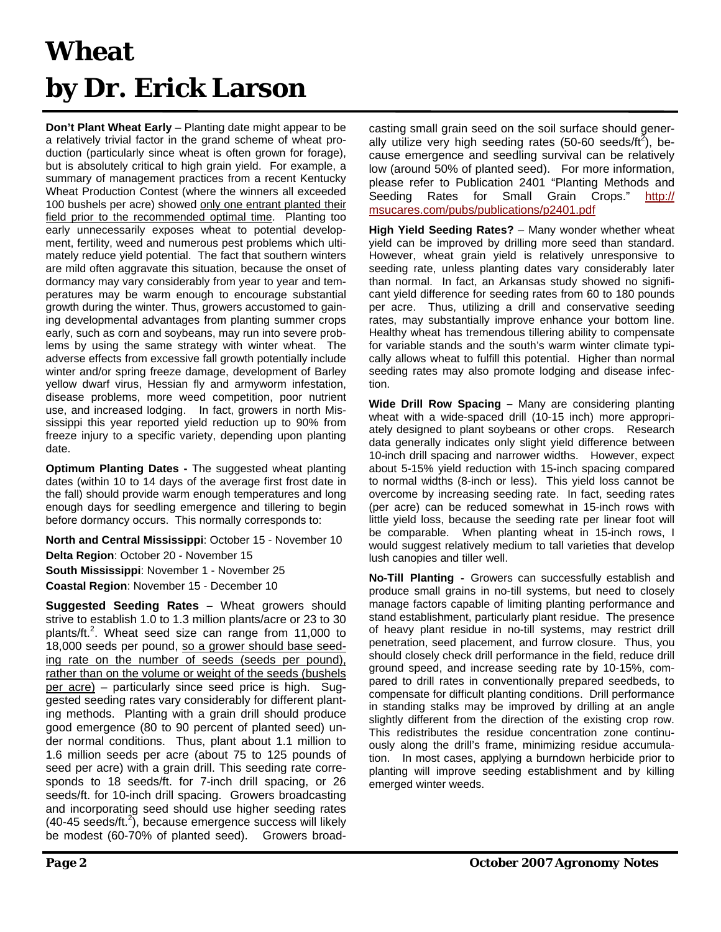### **Wheat by Dr. Erick Larson**

**Don't Plant Wheat Early** – Planting date might appear to be a relatively trivial factor in the grand scheme of wheat production (particularly since wheat is often grown for forage), but is absolutely critical to high grain yield. For example, a summary of management practices from a recent Kentucky Wheat Production Contest (where the winners all exceeded 100 bushels per acre) showed only one entrant planted their field prior to the recommended optimal time. Planting too early unnecessarily exposes wheat to potential development, fertility, weed and numerous pest problems which ultimately reduce yield potential. The fact that southern winters are mild often aggravate this situation, because the onset of dormancy may vary considerably from year to year and temperatures may be warm enough to encourage substantial growth during the winter. Thus, growers accustomed to gaining developmental advantages from planting summer crops early, such as corn and soybeans, may run into severe problems by using the same strategy with winter wheat. The adverse effects from excessive fall growth potentially include winter and/or spring freeze damage, development of Barley yellow dwarf virus, Hessian fly and armyworm infestation, disease problems, more weed competition, poor nutrient use, and increased lodging. In fact, growers in north Mississippi this year reported yield reduction up to 90% from freeze injury to a specific variety, depending upon planting date.

**Optimum Planting Dates -** The suggested wheat planting dates (within 10 to 14 days of the average first frost date in the fall) should provide warm enough temperatures and long enough days for seedling emergence and tillering to begin before dormancy occurs. This normally corresponds to:

**North and Central Mississippi**: October 15 - November 10 **Delta Region**: October 20 - November 15

**South Mississippi**: November 1 - November 25 **Coastal Region**: November 15 - December 10

**Suggested Seeding Rates –** Wheat growers should strive to establish 1.0 to 1.3 million plants/acre or 23 to 30 plants/ft.<sup>2</sup>. Wheat seed size can range from 11,000 to 18,000 seeds per pound, so a grower should base seeding rate on the number of seeds (seeds per pound), rather than on the volume or weight of the seeds (bushels per acre) – particularly since seed price is high. Suggested seeding rates vary considerably for different planting methods. Planting with a grain drill should produce good emergence (80 to 90 percent of planted seed) under normal conditions. Thus, plant about 1.1 million to 1.6 million seeds per acre (about 75 to 125 pounds of seed per acre) with a grain drill. This seeding rate corresponds to 18 seeds/ft. for 7-inch drill spacing, or 26 seeds/ft. for 10-inch drill spacing. Growers broadcasting and incorporating seed should use higher seeding rates  $(40-45 \text{ seeds/ft.}^2)$ , because emergence success will likely be modest (60-70% of planted seed). Growers broadcasting small grain seed on the soil surface should generally utilize very high seeding rates (50-60 seeds/ft<sup>2</sup>), because emergence and seedling survival can be relatively low (around 50% of planted seed). For more information, please refer to Publication 2401 "Planting Methods and Seeding Rates for Small Grain Crops." [http://](http://msucares.com/pubs/publications/p2401.pdf) [msucares.com/pubs/publications/p2401.pd](http://msucares.com/pubs/publications/p2401.pdf)f

**High Yield Seeding Rates?** – Many wonder whether wheat yield can be improved by drilling more seed than standard. However, wheat grain yield is relatively unresponsive to seeding rate, unless planting dates vary considerably later than normal. In fact, an Arkansas study showed no significant yield difference for seeding rates from 60 to 180 pounds per acre. Thus, utilizing a drill and conservative seeding rates, may substantially improve enhance your bottom line. Healthy wheat has tremendous tillering ability to compensate for variable stands and the south's warm winter climate typically allows wheat to fulfill this potential. Higher than normal seeding rates may also promote lodging and disease infection.

**Wide Drill Row Spacing –** Many are considering planting wheat with a wide-spaced drill (10-15 inch) more appropriately designed to plant soybeans or other crops. Research data generally indicates only slight yield difference between 10-inch drill spacing and narrower widths. However, expect about 5-15% yield reduction with 15-inch spacing compared to normal widths (8-inch or less). This yield loss cannot be overcome by increasing seeding rate. In fact, seeding rates (per acre) can be reduced somewhat in 15-inch rows with little yield loss, because the seeding rate per linear foot will be comparable. When planting wheat in 15-inch rows, I would suggest relatively medium to tall varieties that develop lush canopies and tiller well.

**No-Till Planting -** Growers can successfully establish and produce small grains in no-till systems, but need to closely manage factors capable of limiting planting performance and stand establishment, particularly plant residue. The presence of heavy plant residue in no-till systems, may restrict drill penetration, seed placement, and furrow closure. Thus, you should closely check drill performance in the field, reduce drill ground speed, and increase seeding rate by 10-15%, compared to drill rates in conventionally prepared seedbeds, to compensate for difficult planting conditions. Drill performance in standing stalks may be improved by drilling at an angle slightly different from the direction of the existing crop row. This redistributes the residue concentration zone continuously along the drill's frame, minimizing residue accumulation. In most cases, applying a burndown herbicide prior to planting will improve seeding establishment and by killing emerged winter weeds.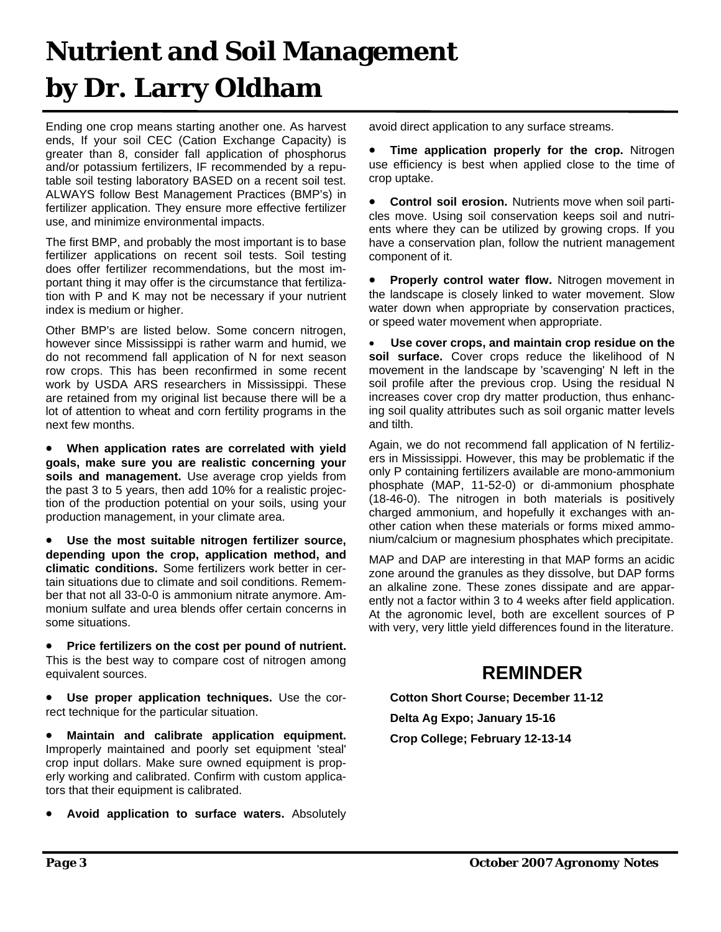### **Nutrient and Soil Management by Dr. Larry Oldham**

Ending one crop means starting another one. As harvest ends, If your soil CEC (Cation Exchange Capacity) is greater than 8, consider fall application of phosphorus and/or potassium fertilizers, IF recommended by a reputable soil testing laboratory BASED on a recent soil test. ALWAYS follow Best Management Practices (BMP's) in fertilizer application. They ensure more effective fertilizer use, and minimize environmental impacts.

The first BMP, and probably the most important is to base fertilizer applications on recent soil tests. Soil testing does offer fertilizer recommendations, but the most important thing it may offer is the circumstance that fertilization with P and K may not be necessary if your nutrient index is medium or higher.

Other BMP's are listed below. Some concern nitrogen, however since Mississippi is rather warm and humid, we do not recommend fall application of N for next season row crops. This has been reconfirmed in some recent work by USDA ARS researchers in Mississippi. These are retained from my original list because there will be a lot of attention to wheat and corn fertility programs in the next few months.

• **When application rates are correlated with yield goals, make sure you are realistic concerning your soils and management.** Use average crop yields from the past 3 to 5 years, then add 10% for a realistic projection of the production potential on your soils, using your production management, in your climate area.

• **Use the most suitable nitrogen fertilizer source, depending upon the crop, application method, and climatic conditions.** Some fertilizers work better in certain situations due to climate and soil conditions. Remember that not all 33-0-0 is ammonium nitrate anymore. Ammonium sulfate and urea blends offer certain concerns in some situations.

• **Price fertilizers on the cost per pound of nutrient.** This is the best way to compare cost of nitrogen among equivalent sources.

• **Use proper application techniques.** Use the correct technique for the particular situation.

• **Maintain and calibrate application equipment.**  Improperly maintained and poorly set equipment 'steal' crop input dollars. Make sure owned equipment is properly working and calibrated. Confirm with custom applicators that their equipment is calibrated.

• **Avoid application to surface waters.** Absolutely

avoid direct application to any surface streams.

• **Time application properly for the crop.** Nitrogen use efficiency is best when applied close to the time of crop uptake.

• **Control soil erosion.** Nutrients move when soil particles move. Using soil conservation keeps soil and nutrients where they can be utilized by growing crops. If you have a conservation plan, follow the nutrient management component of it.

• **Properly control water flow.** Nitrogen movement in the landscape is closely linked to water movement. Slow water down when appropriate by conservation practices, or speed water movement when appropriate.

• **Use cover crops, and maintain crop residue on the soil surface.** Cover crops reduce the likelihood of N movement in the landscape by 'scavenging' N left in the soil profile after the previous crop. Using the residual N increases cover crop dry matter production, thus enhancing soil quality attributes such as soil organic matter levels and tilth.

Again, we do not recommend fall application of N fertilizers in Mississippi. However, this may be problematic if the only P containing fertilizers available are mono-ammonium phosphate (MAP, 11-52-0) or di-ammonium phosphate (18-46-0). The nitrogen in both materials is positively charged ammonium, and hopefully it exchanges with another cation when these materials or forms mixed ammonium/calcium or magnesium phosphates which precipitate.

MAP and DAP are interesting in that MAP forms an acidic zone around the granules as they dissolve, but DAP forms an alkaline zone. These zones dissipate and are apparently not a factor within 3 to 4 weeks after field application. At the agronomic level, both are excellent sources of P with very, very little yield differences found in the literature.

#### **REMINDER**

**Cotton Short Course; December 11-12 Delta Ag Expo; January 15-16 Crop College; February 12-13-14**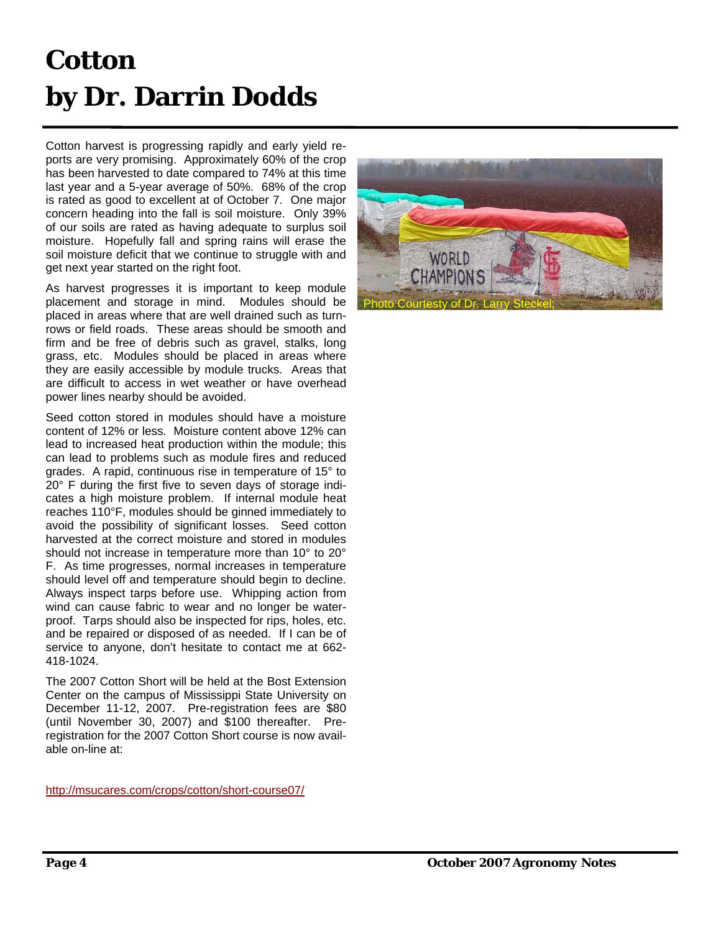## **Cotton by Dr. Darrin Dodds**

Cotton harvest is progressing rapidly and early yield reports are very promising. Approximately 60% of the crop has been harvested to date compared to 74% at this time last year and a 5-year average of 50%. 68% of the crop is rated as good to excellent at of October 7. One major concern heading into the fall is soil moisture. Only 39% of our soils are rated as having adequate to surplus soil moisture. Hopefully fall and spring rains will erase the soil moisture deficit that we continue to struggle with and get next year started on the right foot.

As harvest progresses it is important to keep module placement and storage in mind. Modules should be placed in areas where that are well drained such as turnrows or field roads. These areas should be smooth and firm and be free of debris such as gravel, stalks, long grass, etc. Modules should be placed in areas where they are easily accessible by module trucks. Areas that are difficult to access in wet weather or have overhead power lines nearby should be avoided.

Seed cotton stored in modules should have a moisture content of 12% or less. Moisture content above 12% can lead to increased heat production within the module; this can lead to problems such as module fires and reduced grades. A rapid, continuous rise in temperature of 15° to 20° F during the first five to seven days of storage indicates a high moisture problem. If internal module heat reaches 110°F, modules should be ginned immediately to avoid the possibility of significant losses. Seed cotton harvested at the correct moisture and stored in modules should not increase in temperature more than 10° to 20° F. As time progresses, normal increases in temperature should level off and temperature should begin to decline. Always inspect tarps before use. Whipping action from wind can cause fabric to wear and no longer be waterproof. Tarps should also be inspected for rips, holes, etc. and be repaired or disposed of as needed. If I can be of service to anyone, don't hesitate to contact me at 662- 418-1024.

The 2007 Cotton Short will be held at the Bost Extension Center on the campus of Mississippi State University on December 11-12, 2007. Pre-registration fees are \$80 (until November 30, 2007) and \$100 thereafter. Preregistration for the 2007 Cotton Short course is now available on-line at:

[http://msucares.com/crops/cotton/short-course07](http://msucares.com/crops/cotton/short-course07/)/

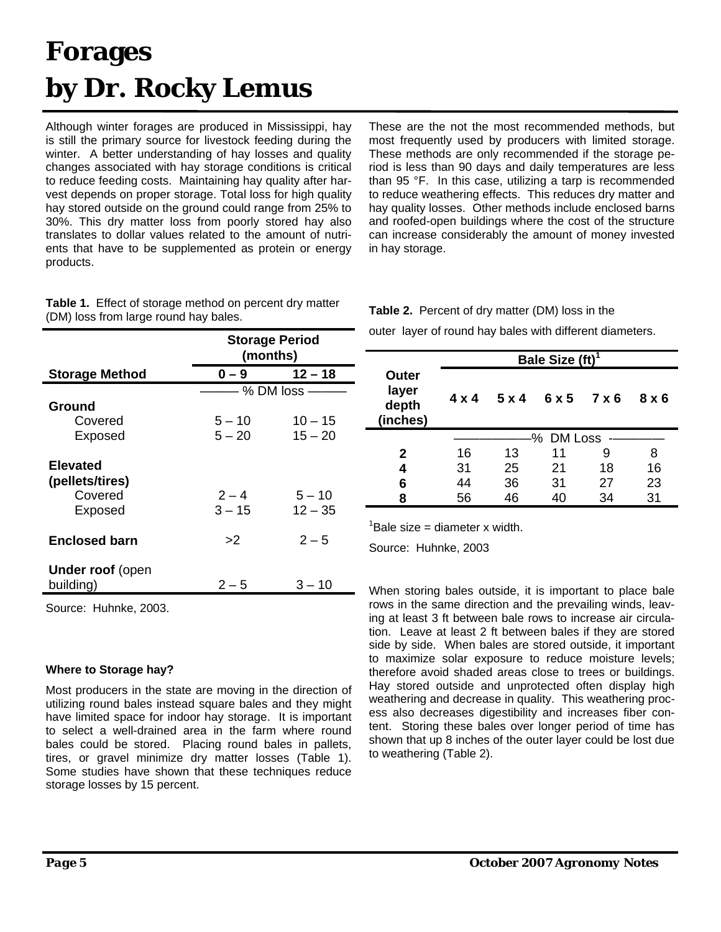### **Forages by Dr. Rocky Lemus**

Although winter forages are produced in Mississippi, hay is still the primary source for livestock feeding during the winter. A better understanding of hay losses and quality changes associated with hay storage conditions is critical to reduce feeding costs. Maintaining hay quality after harvest depends on proper storage. Total loss for high quality hay stored outside on the ground could range from 25% to 30%. This dry matter loss from poorly stored hay also translates to dollar values related to the amount of nutrients that have to be supplemented as protein or energy products.

**Table 1.** Effect of storage method on percent dry matter (DM) loss from large round hay bales.

|                                      | <b>Storage Period</b><br>(months) |               |  |  |  |  |
|--------------------------------------|-----------------------------------|---------------|--|--|--|--|
| <b>Storage Method</b>                | $12 - 18$<br>$0 - 9$              |               |  |  |  |  |
|                                      |                                   | - % DM loss - |  |  |  |  |
| Ground                               |                                   |               |  |  |  |  |
| Covered                              | $5 - 10$                          | $10 - 15$     |  |  |  |  |
| Exposed                              | $5 - 20$                          | $15 - 20$     |  |  |  |  |
| <b>Elevated</b>                      |                                   |               |  |  |  |  |
| (pellets/tires)                      |                                   |               |  |  |  |  |
| Covered                              | $2 - 4$                           | $5 - 10$      |  |  |  |  |
| Exposed                              | $3 - 15$                          | $12 - 35$     |  |  |  |  |
| <b>Enclosed barn</b>                 | >2                                | $2 - 5$       |  |  |  |  |
| <b>Under roof (open</b><br>building) | $2 - 5$                           | $3 - 10$      |  |  |  |  |

Source: Huhnke, 2003.

#### **Where to Storage hay?**

Most producers in the state are moving in the direction of utilizing round bales instead square bales and they might have limited space for indoor hay storage. It is important to select a well-drained area in the farm where round bales could be stored. Placing round bales in pallets, tires, or gravel minimize dry matter losses (Table 1). Some studies have shown that these techniques reduce storage losses by 15 percent.

These are the not the most recommended methods, but most frequently used by producers with limited storage. These methods are only recommended if the storage period is less than 90 days and daily temperatures are less than 95 °F. In this case, utilizing a tarp is recommended to reduce weathering effects. This reduces dry matter and hay quality losses. Other methods include enclosed barns and roofed-open buildings where the cost of the structure can increase considerably the amount of money invested in hay storage.

**Table 2.** Percent of dry matter (DM) loss in the

outer layer of round hay bales with different diameters.

|                                     |              |              | Bale Size $(ft)^1$ |       |     |  |  |  |
|-------------------------------------|--------------|--------------|--------------------|-------|-----|--|--|--|
| Outer<br>layer<br>depth<br>(inches) | $4 \times 4$ | $5 \times 4$ | 6 x 5              | 7 x 6 | 8x6 |  |  |  |
|                                     |              | -% DM Loss   |                    |       |     |  |  |  |
| 2                                   | 16           | 13           | 11                 | 9     | 8   |  |  |  |
| 4                                   | 31           | 25           | 21                 | 18    | 16  |  |  |  |
| 6                                   | 44           | 36           | 31                 | 27    | 23  |  |  |  |
| 8                                   | 56           | 46           | 40                 | 34    | 31  |  |  |  |

 ${}^{1}$ Bale size = diameter x width.

Source: Huhnke, 2003

When storing bales outside, it is important to place bale rows in the same direction and the prevailing winds, leaving at least 3 ft between bale rows to increase air circulation. Leave at least 2 ft between bales if they are stored side by side. When bales are stored outside, it important to maximize solar exposure to reduce moisture levels; therefore avoid shaded areas close to trees or buildings. Hay stored outside and unprotected often display high weathering and decrease in quality. This weathering process also decreases digestibility and increases fiber content. Storing these bales over longer period of time has shown that up 8 inches of the outer layer could be lost due to weathering (Table 2).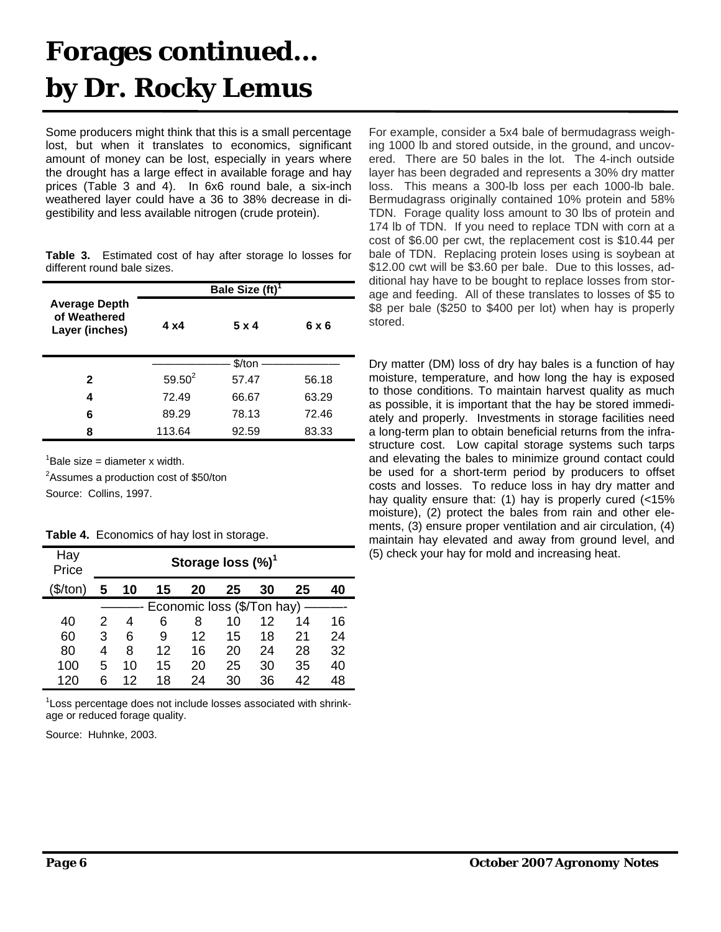#### **Forages continued… by Dr. Rocky Lemus**

Some producers might think that this is a small percentage lost, but when it translates to economics, significant amount of money can be lost, especially in years where the drought has a large effect in available forage and hay prices (Table 3 and 4). In 6x6 round bale, a six-inch weathered layer could have a 36 to 38% decrease in digestibility and less available nitrogen (crude protein).

| <b>Table 3.</b> Estimated cost of hay after storage lo losses for |  |  |  |  |
|-------------------------------------------------------------------|--|--|--|--|
| different round bale sizes.                                       |  |  |  |  |

|                                                        |             | Bale Size (ft) <sup>1</sup> |       |
|--------------------------------------------------------|-------------|-----------------------------|-------|
| <b>Average Depth</b><br>of Weathered<br>Layer (inches) | 4 x 4       | 5 x 4                       | 6 x 6 |
|                                                        |             | \$/ton                      |       |
| 2                                                      | $59.50^{2}$ | 57.47                       | 56.18 |
| 4                                                      | 72.49       | 66.67                       | 63.29 |
| 6                                                      | 89.29       | 78.13                       | 72.46 |
| 8                                                      | 113.64      | 92.59                       | 83.33 |

 ${}^{1}$ Bale size = diameter x width.

<sup>2</sup>Assumes a production cost of \$50/ton Source: Collins, 1997.

| Hay<br>Price |   | Storage loss $(\%)^1$ |    |                            |    |    |    |    |
|--------------|---|-----------------------|----|----------------------------|----|----|----|----|
| (\$/ton)     | 5 | 10                    | 15 | 20                         | 25 | 30 | 25 | 40 |
|              |   |                       |    | Economic loss (\$/Ton hay) |    |    |    |    |
| 40           | 2 | 4                     | 6  | 8                          | 10 | 12 | 14 | 16 |
| 60           | 3 | 6                     | 9  | 12                         | 15 | 18 | 21 | 24 |
| 80           | 4 | 8                     | 12 | 16                         | 20 | 24 | 28 | 32 |
| 100          | 5 | 10                    | 15 | 20                         | 25 | 30 | 35 | 40 |
| 120          | հ | 12                    | 18 | 24                         | 30 | 36 | 42 | 48 |

<sup>1</sup> Loss percentage does not include losses associated with shrinkage or reduced forage quality.

Source: Huhnke, 2003.

For example, consider a 5x4 bale of bermudagrass weighing 1000 lb and stored outside, in the ground, and uncovered. There are 50 bales in the lot. The 4-inch outside layer has been degraded and represents a 30% dry matter loss. This means a 300-lb loss per each 1000-lb bale. Bermudagrass originally contained 10% protein and 58% TDN. Forage quality loss amount to 30 lbs of protein and 174 lb of TDN. If you need to replace TDN with corn at a cost of \$6.00 per cwt, the replacement cost is \$10.44 per bale of TDN. Replacing protein loses using is soybean at \$12.00 cwt will be \$3.60 per bale. Due to this losses, additional hay have to be bought to replace losses from storage and feeding. All of these translates to losses of \$5 to \$8 per bale (\$250 to \$400 per lot) when hay is properly stored.

Dry matter (DM) loss of dry hay bales is a function of hay moisture, temperature, and how long the hay is exposed to those conditions. To maintain harvest quality as much as possible, it is important that the hay be stored immediately and properly. Investments in storage facilities need a long-term plan to obtain beneficial returns from the infrastructure cost. Low capital storage systems such tarps and elevating the bales to minimize ground contact could be used for a short-term period by producers to offset costs and losses. To reduce loss in hay dry matter and hay quality ensure that: (1) hay is properly cured (<15% moisture), (2) protect the bales from rain and other elements, (3) ensure proper ventilation and air circulation, (4) maintain hay elevated and away from ground level, and (5) check your hay for mold and increasing heat.